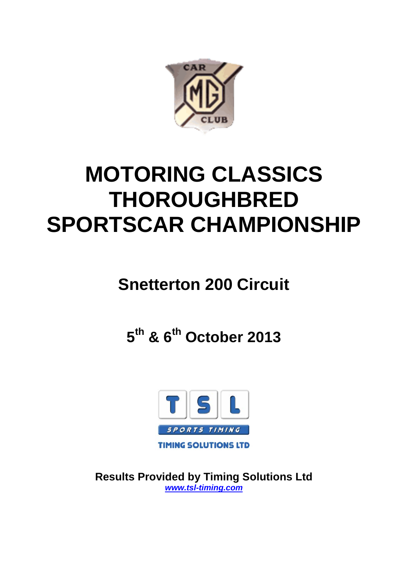

# **MOTORING CLASSICS THOROUGHBRED SPORTSCAR CHAMPIONSHIP**

# **Snetterton 200 Circuit**

**5th & 6th October 2013**



**Results Provided by Timing Solutions Ltd** *www.tsl-timing.com*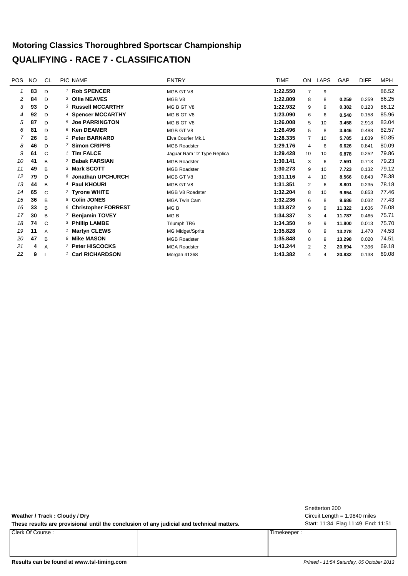#### **Motoring Classics Thoroughbred Sportscar Championship QUALIFYING - RACE 7 - CLASSIFICATION**

| <b>POS</b> | <b>NO</b> | CL           | PIC NAME                     | <b>ENTRY</b>                | TIME     | ON             | <b>LAPS</b> | GAP    | <b>DIFF</b> | <b>MPH</b> |
|------------|-----------|--------------|------------------------------|-----------------------------|----------|----------------|-------------|--------|-------------|------------|
|            | 83        | D            | <sup>1</sup> Rob SPENCER     | MGB GT V8                   | 1:22.550 | 7              | 9           |        |             | 86.52      |
| 2          | 84        | D            | 2 Ollie NEAVES               | MGB V8                      | 1:22.809 | 8              | 8           | 0.259  | 0.259       | 86.25      |
| 3          | 93        | D            | <b>3 Russell MCCARTHY</b>    | MG B GT V8                  | 1:22.932 | 9              | 9           | 0.382  | 0.123       | 86.12      |
| 4          | 92        | D            | 4 Spencer MCCARTHY           | MG B GT V8                  | 1:23.090 | 6              | 6           | 0.540  | 0.158       | 85.96      |
| 5          | 87        | D            | 5 Joe PARRINGTON             | MG B GT V8                  | 1:26.008 | 5              | 10          | 3.458  | 2.918       | 83.04      |
| 6          | 81        | D            | $6$ Ken DEAMER               | MGB GT V8                   | 1:26.496 | 5              | 8           | 3.946  | 0.488       | 82.57      |
|            | 26        | B            | 1 Peter BARNARD              | Elva Courier Mk.1           | 1:28.335 | $\overline{7}$ | 10          | 5.785  | 1.839       | 80.85      |
| 8          | 46        | D            | 7 Simon CRIPPS               | <b>MGB Roadster</b>         | 1:29.176 | 4              | 6           | 6.626  | 0.841       | 80.09      |
| 9          | 61        | C            | 1 Tim FALCE                  | Jaguar Ram 'D' Type Replica | 1:29.428 | 10             | 10          | 6.878  | 0.252       | 79.86      |
| 10         | 41        | B            | <sup>2</sup> Babak FARSIAN   | <b>MGB Roadster</b>         | 1:30.141 | 3              | 6           | 7.591  | 0.713       | 79.23      |
| 11         | 49        | B            | 3 Mark SCOTT                 | <b>MGB Roadster</b>         | 1:30.273 | 9              | 10          | 7.723  | 0.132       | 79.12      |
| 12         | 79        | D            | 8 Jonathan UPCHURCH          | MGB GT V8                   | 1:31.116 | 4              | 10          | 8.566  | 0.843       | 78.38      |
| 13         | 44        | B            | 4 Paul KHOURI                | MGB GT V8                   | 1:31.351 | $\overline{2}$ | 6           | 8.801  | 0.235       | 78.18      |
| 14         | 65        | $\mathsf{C}$ | <sup>2</sup> Tyrone WHITE    | MGB V8 Roadster             | 1:32.204 | 8              | 10          | 9.654  | 0.853       | 77.46      |
| 15         | 36        | B            | 5 Colin JONES                | <b>MGA Twin Cam</b>         | 1:32.236 | 6              | 8           | 9.686  | 0.032       | 77.43      |
| 16         | 33        | B            | 6 Christopher FORREST        | MG <sub>B</sub>             | 1:33.872 | 9              | 9           | 11.322 | 1.636       | 76.08      |
| 17         | 30        | B            | 7 Benjamin TOVEY             | MG B                        | 1:34.337 | 3              | 4           | 11.787 | 0.465       | 75.71      |
| 18         | 74        | $\mathsf{C}$ | <sup>3</sup> Phillip LAMBE   | Triumph TR6                 | 1:34.350 | 9              | 9           | 11.800 | 0.013       | 75.70      |
| 19         | 11        | A            | 1 Martyn CLEWS               | MG Midget/Sprite            | 1:35.828 | 8              | 9           | 13.278 | 1.478       | 74.53      |
| 20         | 47        | B            | 8 Mike MASON                 | <b>MGB Roadster</b>         | 1:35.848 | 8              | 9           | 13.298 | 0.020       | 74.51      |
| 21         | 4         | Α            | <sup>2</sup> Peter HISCOCKS  | <b>MGA Roadster</b>         | 1:43.244 | 2              | 2           | 20.694 | 7.396       | 69.18      |
| 22         | 9         |              | <sup>1</sup> Carl RICHARDSON | Morgan 41368                | 1:43.382 | 4              | 4           | 20.832 | 0.138       | 69.08      |

**Weather / Track : Cloudy / Dry**

These results are provisional until the conclusion of any judicial and technical matters. Start: 11:34 Flag 11:49 End: 11:51

Clerk Of Course : Timekeeper :

Circuit Length = 1.9840 miles Snetterton 200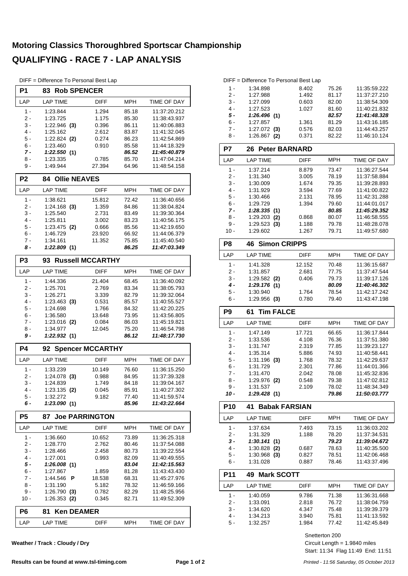# **Motoring Classics Thoroughbred Sportscar Championship QUALIFYING - RACE 7 - LAP ANALYSIS**

DIFF = Difference To Personal Best Lap

| P <sub>1</sub> | <b>Rob SPENCER</b><br>83      |                         |                |                              |
|----------------|-------------------------------|-------------------------|----------------|------------------------------|
| LAP            | <b>LAP TIME</b>               | DIFF                    | MPH            | TIME OF DAY                  |
| 1 -            | 1:23.844                      | 1.294                   | 85.18          | 11:37:20.212                 |
| 2 -            | 1:23.725                      | 1.175                   | 85.30          | 11:38:43.937                 |
| 3 -            | $1:22.946$ (3)                | 0.396                   | 86.11          | 11:40:06.883                 |
| 4 -            | 1:25.162                      | 2.612                   | 83.87          | 11:41:32.045                 |
| 5 -            | $1:22.824$ (2)                | 0.274                   | 86.23          | 11:42:54.869                 |
| 6 -            | 1:23.460                      | 0.910                   | 85.58          | 11:44:18.329                 |
| 7 -<br>8 -     | 1:22.550(1)<br>1:23.335       | 0.785                   | 86.52<br>85.70 | 11:45:40.879<br>11:47:04.214 |
| 9 -            | 1:49.944                      | 27.394                  | 64.96          | 11:48:54.158                 |
| P <sub>2</sub> | <b>Ollie NEAVES</b><br>84.    |                         |                |                              |
| LAP            | <b>LAP TIME</b>               | DIFF                    | <b>MPH</b>     | TIME OF DAY                  |
| 1 -            |                               | 15.812                  | 72.42          | 11:36:40.656                 |
| 2 -            | 1:38.621<br>$1:24.168$ (3)    | 1.359                   | 84.86          | 11:38:04.824                 |
| 3 -            | 1:25.540                      | 2.731                   | 83.49          | 11:39:30.364                 |
| $4 -$          | 1:25.811                      | 3.002                   | 83.23          | 11:40:56.175                 |
| 5 -            | $1:23.475$ (2)                | 0.666                   | 85.56          | 11:42:19.650                 |
| 6 -            | 1:46.729                      | 23.920                  | 66.92          | 11:44:06.379                 |
| 7 -            | 1:34.161                      | 11.352                  | 75.85          | 11:45:40.540                 |
| 8 -            | 1:22.809(1)                   |                         | 86.25          | 11:47:03.349                 |
| P <sub>3</sub> | 93                            | <b>Russell MCCARTHY</b> |                |                              |
| LAP            | <b>LAP TIME</b>               | <b>DIFF</b>             | MPH            | <b>TIME OF DAY</b>           |
| 1 -            | 1:44.336                      | 21.404                  | 68.45          | 11:36:40.092                 |
| 2 -            | 1:25.701                      | 2.769                   | 83.34          | 11:38:05.793                 |
| 3 -            | 1:26.271                      | 3.339                   | 82.79          | 11:39:32.064                 |
| $4 -$          | $1:23.463$ (3)                | 0.531                   | 85.57          | 11:40:55.527                 |
| 5 -            | 1:24.698                      | 1.766                   | 84.32          | 11:42:20.225                 |
| 6 -            | 1:36.580                      | 13.648                  | 73.95          | 11:43:56.805                 |
| 7 -<br>8 -     | 1:23.016<br>(2)               | 0.084<br>12.045         | 86.03          | 11:45:19.821<br>11:46:54.798 |
| 9 -            | 1:34.977<br>1:22.932(1)       |                         | 75.20<br>86.12 | 11:48:17.730                 |
| <b>P4</b>      | 92                            | <b>Spencer MCCARTHY</b> |                |                              |
| LAP            | <b>LAP TIME</b>               | <b>DIFF</b>             | <b>MPH</b>     | TIME OF DAY                  |
|                |                               |                         |                |                              |
| 1 -<br>2 -     | 1:33.239                      | 10.149                  | 76.60<br>84.95 | 11:36:15.250<br>11:37:39.328 |
| 3 -            | $1:24.078$ (3)<br>1:24.839    | 0.988<br>1.749          | 84.18          | 11:39:04.167                 |
| $4 -$          | 1:23.135<br>(2)               | 0.045                   | 85.91          | 11:40:27.302                 |
| 5 -            | 1:32.272                      | 9.182                   | 77.40          | 11:41:59.574                 |
| 6 -            | 1:23.090(1)                   |                         | 85.96          | 11:43:22.664                 |
| <b>P5</b>      | 87.                           | <b>Joe PARRINGTON</b>   |                |                              |
| LAP            | <b>LAP TIME</b>               | DIFF                    | MPH            | TIME OF DAY                  |
| 1 -            | 1:36.660                      | 10.652                  | 73.89          | 11:36:25.318                 |
| 2 -            | 1:28.770                      | 2.762                   | 80.46          | 11:37:54.088                 |
| 3 -            | 1:28.466                      | 2.458                   | 80.73          | 11:39:22.554                 |
| 4 -            | 1:27.001                      | 0.993                   | 82.09          | 11:40:49.555                 |
| 5 -            | 1:26.008(1)                   |                         | 83.04          | 11:42:15.563                 |
| 6 -            | 1:27.867                      | 1.859                   | 81.28          | 11:43:43.430                 |
| $7 -$          | 1:44.546<br>Р                 | 18.538                  | 68.31          | 11:45:27.976                 |
| 8 -            | 1:31.190                      | 5.182                   | 78.32          | 11:46:59.166                 |
| 9 -<br>10 -    | 1:26.790(3)<br>$1:26.353$ (2) | 0.782<br>0.345          | 82.29<br>82.71 | 11:48:25.956<br>11:49:52.309 |
| P <sub>6</sub> | <b>Ken DEAMER</b><br>81       |                         |                |                              |
|                |                               |                         |                |                              |
| LAP            | <b>LAP TIME</b>               | <b>DIFF</b>             | <b>MPH</b>     | TIME OF DAY                  |

**Weather / Track : Cloudy / Dry**

|                 | DIFF = Difference To Personal Best Lap |                |                |                              |
|-----------------|----------------------------------------|----------------|----------------|------------------------------|
| $1 -$           | 1:34.898                               | 8.402          | 75.26          | 11:35:59.222                 |
| 2 -             | 1:27.988                               | 1.492          | 81.17          | 11:37:27.210                 |
| 3 -             | 1:27.099                               | 0.603          | 82.00          | 11:38:54.309                 |
| 4 -             | 1:27.523                               | 1.027          | 81.60          | 11:40:21.832                 |
| 5 -             | 1:26.496 (1)                           |                | 82.57          | 11:41:48.328                 |
| 6 -             | 1:27.857                               | 1.361          | 81.29          | 11:43:16.185                 |
| 7 -             | $1:27.072$ (3)                         | 0.576          | 82.03          | 11:44:43.257                 |
| 8 -             | 1:26.867 (2)                           | 0.371          | 82.22          | 11:46:10.124                 |
| P7              | <b>Peter BARNARD</b><br>26             |                |                |                              |
| LAP             | <b>LAP TIME</b>                        | DIFF           | MPH            | <b>TIME OF DAY</b>           |
|                 |                                        |                |                |                              |
| $1 -$<br>$2 -$  | 1:37.214                               | 8.879<br>3.005 | 73.47          | 11:36:27.544                 |
| 3 -             | 1:31.340<br>1:30.009                   | 1.674          | 78.19<br>79.35 | 11:37:58.884<br>11:39:28.893 |
| 4 -             | 1:31.929                               | 3.594          | 77.69          | 11:41:00.822                 |
| 5 -             | 1:30.466                               | 2.131          | 78.95          | 11:42:31.288                 |
| 6 -             | 1:29.729                               | 1.394          | 79.60          | 11:44:01.017                 |
| 7 -             | 1:28.335(1)                            |                | 80.85          | 11:45:29.352                 |
| 8 -             | $1:29.203$ (2)                         | 0.868          | 80.07          | 11:46:58.555                 |
| 9 -             | 1:29.523(3)                            | 1.188          | 79.78          | 11:48:28.078                 |
| $10 -$          | 1:29.602                               | 1.267          | 79.71          | 11:49:57.680                 |
| P8              | <b>Simon CRIPPS</b><br>46              |                |                |                              |
| LAP             | <b>LAP TIME</b>                        | DIFF           | <b>MPH</b>     | TIME OF DAY                  |
| $1 -$           | 1:41.328                               | 12.152         | 70.48          | 11:36:15.687                 |
| 2 -             | 1:31.857                               | 2.681          | 77.75          | 11:37:47.544                 |
| 3 -             | $1:29.582$ (2)                         | 0.406          | 79.73          | 11:39:17.126                 |
| $4 -$           | 1:29.176 (1)                           |                | 80.09          | 11:40:46.302                 |
| 5 -             | 1:30.940                               | 1.764          | 78.54          | 11:42:17.242                 |
| 6 -             | $1:29.956$ (3)                         | 0.780          | 79.40          | 11:43:47.198                 |
|                 |                                        |                |                |                              |
| P <sub>9</sub>  | <b>Tim FALCE</b><br>61                 |                |                |                              |
|                 |                                        |                |                |                              |
| LAP             | <b>LAP TIME</b>                        | <b>DIFF</b>    | <b>MPH</b>     | TIME OF DAY                  |
| $1 -$           | 1:47.149                               | 17.721         | 66.65          | 11:36:17.844                 |
| 2 -             | 1:33.536                               | 4.108          | 76.36          | 11:37:51.380                 |
| 3 -             | 1:31.747                               | 2.319          | 77.85          | 11:39:23.127                 |
| 4 -             | 1:35.314                               | 5.886          | 74.93          | 11:40:58.441                 |
| 5 -             | $1:31.196$ (3)                         | 1.768          | 78.32          | 11:42:29.637                 |
| 6 -             | 1:31.729                               | 2.301          | 77.86          | 11:44:01.366                 |
| 7 -             | 1:31.470                               | 2.042          | 78.08          | 11:45:32.836                 |
| 8 -             | 1:29.976 (2)                           | 0.548          | 79.38          | 11:47:02.812                 |
| 9 -<br>10 -     | 1:31.537<br>1:29.428 (1)               | 2.109          | 78.02<br>79.86 | 11:48:34.349<br>11:50:03.777 |
|                 | 41                                     |                |                |                              |
| P <sub>10</sub> | <b>Babak FARSIAN</b>                   |                |                |                              |
| LAP             | <b>LAP TIME</b>                        | DIFF           | MPH            | <b>TIME OF DAY</b>           |
| $1 -$           | 1:37.634                               | 7.493          | 73.15          | 11:36:03.202                 |
| 2 -             | 1:31.329                               | 1.188          | 78.20          | 11:37:34.531                 |
| 3 -             | 1:30.141(1)                            |                | 79.23          | 11:39:04.672                 |
| 4 -<br>5 -      | $1:30.828$ (2)                         | 0.687          | 78.63          | 11:40:35.500                 |
| $6 -$           | $1:30.968$ (3)<br>1:31.028             | 0.827<br>0.887 | 78.51<br>78.46 | 11:42:06.468<br>11:43:37.496 |
|                 |                                        |                |                |                              |
| <b>P11</b>      | <b>Mark SCOTT</b><br>49.               |                |                |                              |
| LAP             | <b>LAP TIME</b>                        | DIFF           | <b>MPH</b>     | TIME OF DAY                  |
| $1 -$           | 1:40.059                               | 9.786          | 71.38          | 11:36:31.668                 |
| 2 -             | 1:33.091                               | 2.818          | 76.72          | 11:38:04.759                 |
| 3 -             | 1:34.620                               | 4.347          | 75.48          | 11:39:39.379                 |
| 4 -             | 1:34.213                               | 3.940          | 75.81          | 11:41:13.592                 |
| $5 -$           | 1:32.257                               | 1.984          | 77.42<br>200   | 11:42:45.849                 |

Snetterton 200

Start: 11:34 Flag 11:49 End: 11:51 Circuit Length = 1.9840 miles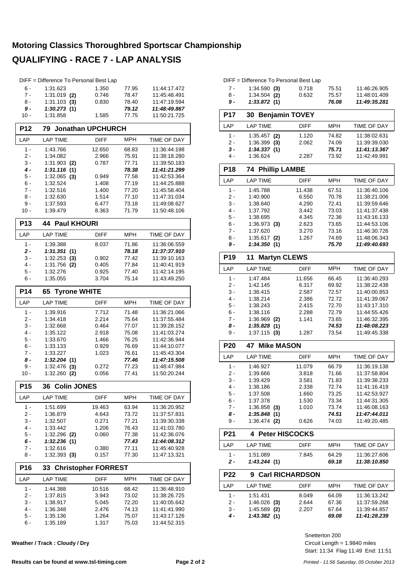## **Motoring Classics Thoroughbred Sportscar Championship QUALIFYING - RACE 7 - LAP ANALYSIS**

|                 | DIFF = Difference To Personal Best Lap |                            |                |                              |
|-----------------|----------------------------------------|----------------------------|----------------|------------------------------|
| $6 -$           | 1:31.623                               | 1.350                      | 77.95          | 11:44:17.472                 |
| $7 -$           | $1:31.019$ (2)                         | 0.746                      | 78.47          | 11:45:48.491                 |
| 8 -             | $1:31.103$ (3)                         | 0.830                      | 78.40          | 11:47:19.594                 |
| 9 -             | 1:30.273(1)                            |                            | 79.12          | 11:48:49.867                 |
| 10 -            | 1:31.858                               | 1.585                      | 77.75          | 11:50:21.725                 |
| <b>P12</b>      | 79                                     | <b>Jonathan UPCHURCH</b>   |                |                              |
| LAP             | <b>LAP TIME</b>                        | <b>DIFF</b>                | <b>MPH</b>     | <b>TIME OF DAY</b>           |
| $1 -$           | 1:43.766                               | 12.650                     | 68.83          | 11:36:44.198                 |
| $2 -$           | 1:34.082                               | 2.966                      | 75.91          | 11:38:18.280                 |
| 3 -             | 1:31.903<br>(2)                        | 0.787                      | 77.71          | 11:39:50.183                 |
| 4 -             | 1:31.116<br>(1)                        |                            | 78.38          | 11:41:21.299                 |
| 5 -             | 1:32.065<br>(3)                        | 0.949                      | 77.58          | 11:42:53.364                 |
| 6 -             | 1:32.524                               | 1.408                      | 77.19          | 11:44:25.888                 |
| $7 -$           | 1:32.516                               | 1.400                      | 77.20          | 11:45:58.404                 |
| 8 -<br>9 -      | 1:32.630<br>1:37.593                   | 1.514<br>6.477             | 77.10<br>73.18 | 11:47:31.034<br>11:49:08.627 |
| $10 -$          | 1:39.479                               | 8.363                      | 71.79          | 11:50:48.106                 |
|                 |                                        |                            |                |                              |
| P <sub>13</sub> | <b>44 Paul KHOURI</b>                  |                            |                |                              |
| LAP             | <b>LAP TIME</b>                        | <b>DIFF</b>                | <b>MPH</b>     | TIME OF DAY                  |
| $1 -$<br>2 -    | 1:39.388<br>1:31.351                   | 8.037                      | 71.86<br>78.18 | 11:36:06.559<br>11:37:37.910 |
| 3 -             | (1)<br>1:32.253<br>(3)                 | 0.902                      | 77.42          | 11:39:10.163                 |
| 4 -             | 1:31.756 (2)                           | 0.405                      | 77.84          | 11:40:41.919                 |
| 5 -             | 1:32.276                               | 0.925                      | 77.40          | 11:42:14.195                 |
| 6 -             | 1:35.055                               | 3.704                      | 75.14          | 11:43:49.250                 |
|                 |                                        |                            |                |                              |
| P <sub>14</sub> | 65<br><b>Tyrone WHITE</b>              |                            |                |                              |
| LAP             | <b>LAP TIME</b>                        | <b>DIFF</b>                | <b>MPH</b>     | TIME OF DAY                  |
|                 |                                        |                            |                |                              |
| $1 -$           | 1:39.916                               | 7.712                      | 71.48          | 11:36:21.066                 |
| 2 -             | 1:34.418                               | 2.214                      | 75.64          | 11:37:55.484                 |
| 3 -             | 1:32.668                               | 0.464                      | 77.07          | 11:39:28.152                 |
| $4 -$           | 1:35.122                               | 2.918                      | 75.08          | 11:41:03.274                 |
| 5 -             | 1:33.670                               | 1.466                      | 76.25          | 11:42:36.944                 |
| $6 -$           | 1:33.133                               | 0.929                      | 76.69          | 11:44:10.077                 |
| $7 -$           | 1:33.227                               | 1.023                      | 76.61          | 11:45:43.304                 |
| 8 -             | 1:32.204<br>(1)                        |                            | 77.46          | 11:47:15.508                 |
| 9 -             | 1:32.476<br>(3)                        | 0.272                      | 77.23          | 11:48:47.984                 |
| 10 -            | 1:32.260 (2)                           | 0.056                      | 77.41          | 11:50:20.244                 |
| <b>P15</b>      | <b>Colin JONES</b><br>36               |                            |                |                              |
| LAP             | <b>LAP TIME</b>                        | <b>DIFF</b>                | <b>MPH</b>     | TIME OF DAY                  |
| $1 -$           | 1:51.699                               | 19.463                     | 63.94          | 11:36:20.952                 |
| 2 -             | 1:36.879                               | 4.643                      | 73.72          | 11:37:57.831                 |
| 3 -             | 1:32.507                               | 0.271                      | 77.21          | 11:39:30.338                 |
| 4 -             | 1:33.442                               | 1.206                      | 76.43          | 11:41:03.780                 |
| 5 -             | $1:32.296$ (2)                         | 0.060                      | 77.38          | 11:42:36.076                 |
| 6 -             | 1:32.236(1)                            |                            | 77.43          | 11:44:08.312                 |
| 7 -<br>8 -      | 1:32.616<br>$1:32.393$ (3)             | 0.380<br>0.157             | 77.11<br>77.30 | 11:45:40.928<br>11:47:13.321 |
| P16             | 33                                     | <b>Christopher FORREST</b> |                |                              |
|                 |                                        |                            |                |                              |
| LAP             | <b>LAP TIME</b>                        | <b>DIFF</b>                | MPH            | TIME OF DAY                  |
| $1 -$<br>2 -    | 1:44.388<br>1:37.815                   | 10.516<br>3.943            | 68.42          | 11:36:48.910<br>11:38:26.725 |
| 3 -             | 1:38.917                               | 5.045                      | 73.02<br>72.20 | 11:40:05.642                 |
| 4 -             | 1:36.348                               | 2.476                      | 74.13          | 11:41:41.990                 |
| 5 -<br>$6 -$    | 1:35.136                               | 1.264                      | 75.07          | 11:43:17.126                 |

**Weather / Track : Cloudy / Dry**

|       | DIFF = Difference To Personal Best Lap |       |        |              |
|-------|----------------------------------------|-------|--------|--------------|
| $7 -$ | $1:34.590$ (3)                         | 0.718 | 75.51  | 11:46:26.905 |
| 8 -   | $1:34.504$ (2)                         | 0.632 | 75.57  | 11:48:01.409 |
|       | 4.99.070.141                           |       | 70. OO | 11.10.25.004 |

| 9 -             | 1:33.872(1)                |                        | 76.08          | 11:49:35.281       |
|-----------------|----------------------------|------------------------|----------------|--------------------|
| P17             | 30 Benjamin TOVEY          |                        |                |                    |
| LAP             | <b>LAP TIME</b>            | <b>DIFF</b>            | MPH            | TIME OF DAY        |
| $1 -$           | $1:35.457$ (2)             | 1.120                  | 74.82          | 11:38:02.631       |
| $2-$            | $1:36.399$ (3)             | 2.062                  | 74.09          | 11:39:39.030       |
| 3 -             | 1:34.337(1)                |                        | 75.71          | 11:41:13.367       |
| 4 -             | 1:36.624                   | 2.287                  | 73.92          | 11:42:49.991       |
| P <sub>18</sub> | <b>Phillip LAMBE</b><br>74 |                        |                |                    |
| LAP             | <b>LAP TIME</b>            | <b>DIFF</b>            | <b>MPH</b>     | <b>TIME OF DAY</b> |
| $1 -$           | 1:45.788                   | 11.438                 | 67.51          | 11:36:40.106       |
| $2-$            | 1:40.900                   | 6.550                  | 70.78          | 11:38:21.006       |
| 3 -             | 1:38.640                   | 4.290                  | 72.41          | 11:39:59.646       |
| 4 -             | 1:37.792                   | 3.442                  | 73.03          | 11:41:37.438       |
| 5 -             | 1:38.695                   | 4.345                  | 72.36          | 11:43:16.133       |
| $6 -$           | 1:36.973(3)                | 2.623                  | 73.65          | 11:44:53.106       |
| 7 -             | 1:37.620                   | 3.270                  | 73.16          | 11:46:30.726       |
| 8 -             | $1:35.617$ (2)             | 1.267                  | 74.69          | 11:48:06.343       |
| 9 -             | 1:34.350(1)                |                        | 75.70          | 11:49:40.693       |
| P <sub>19</sub> | <b>Martyn CLEWS</b><br>11  |                        |                |                    |
| LAP             | <b>LAP TIME</b>            | <b>DIFF</b>            | <b>MPH</b>     | <b>TIME OF DAY</b> |
| $1 -$           | 1:47.484                   | 11.656                 | 66.45          | 11:36:40.293       |
| 2 -             | 1:42.145                   | 6.317                  | 69.92          | 11:38:22.438       |
| 3 -             | 1:38.415                   | 2.587                  | 72.57          | 11:40:00.853       |
| 4 -             | 1:38.214                   | 2.386                  | 72.72          | 11:41:39.067       |
| 5 -             | 1:38.243                   | 2.415                  | 72.70          | 11:43:17.310       |
| 6 -             | 1:38.116                   | 2.288                  | 72.79          | 11:44:55.426       |
| 7 -             | 1:36.969 (2)               | 1.141                  | 73.65          | 11:46:32.395       |
| 8 -             | 1:35.828(1)                |                        | 74.53          | 11:48:08.223       |
| 9 -             | $1:37.115$ (3)             | 1.287                  | 73.54          | 11:49:45.338       |
| <b>P20</b>      | <b>Mike MASON</b><br>47    |                        |                |                    |
| LAP             | <b>LAP TIME</b>            | <b>DIFF</b>            | <b>MPH</b>     | TIME OF DAY        |
| 1 -             | 1:46.927                   | 11.079                 | 66.79          | 11:36:19.138       |
| $2-$            | 1:39.666                   | 3.818                  | 71.66          | 11:37:58.804       |
| 3 -             | 1:39.429                   | 3.581                  | 71.83          | 11:39:38.233       |
| 4 -             | 1:38.186                   | 2.338                  | 72.74          | 11:41:16.419       |
| 5 -             | 1:37.508                   | 1.660                  | 73.25          | 11:42:53.927       |
| 6 -             | 1:37.378                   | 1.530                  | 73.34          | 11:44:31.305       |
| 7 -             | $1:36.858$ (3)             | 1.010                  | 73.74          | 11:46:08.163       |
| 8 -<br>9 -      | 1:35.848(1)                |                        | 74.51<br>74.03 | 11:47:44.011       |
|                 | $1:36.474$ (2)             | 0.626                  |                | 11:49:20.485       |
| P21             | <b>Peter HISCOCKS</b><br>4 |                        |                |                    |
| LAP             | <b>LAP TIME</b>            | DIFF                   | MPH            | TIME OF DAY        |
| 1 -             | 1:51.089                   | 7.845                  | 64.29          | 11:36:27.606       |
| 2 -             | 1:43.244(1)                |                        | 69.18          | 11:38:10.850       |
| <b>P22</b>      | 9                          | <b>Carl RICHARDSON</b> |                |                    |
| LAP             | <b>LAP TIME</b>            | <b>DIFF</b>            | <b>MPH</b>     | TIME OF DAY        |
| 1 -             | 1:51.431                   | 8.049                  | 64.09          | 11:36:13.242       |

Start: 11:34 Flag 11:49 End: 11:51 Circuit Length = 1.9840 miles Snetterton 200

2 - 1:46.026 (3) 2.644 67.36 11:37:59.268 3 - 1:45.589 2.207 11:39:44.857 **(2)** 67.64 *4 - 1:43.382 11:41:28.239* **(1)** *69.08*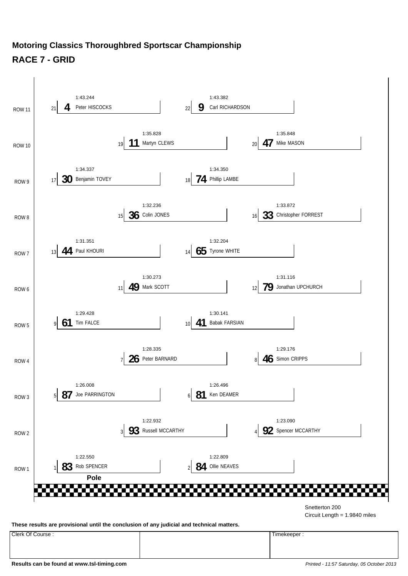#### **Motoring Classics Thoroughbred Sportscar Championship RACE 7 - GRID**



Clerk Of Course : Timekeeper :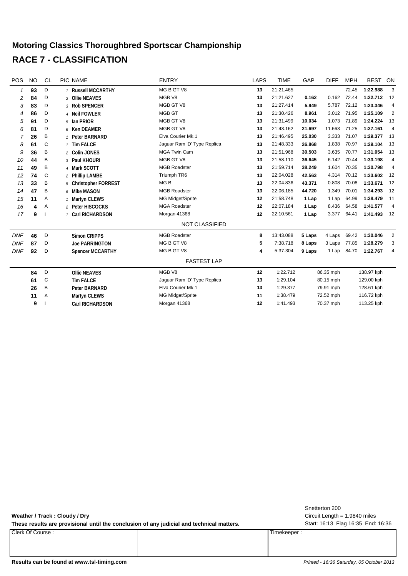### **Motoring Classics Thoroughbred Sportscar Championship RACE 7 - CLASSIFICATION**

| <b>POS</b> | <b>NO</b> | CL | PIC NAME                | <b>ENTRY</b>                | LAPS | <b>TIME</b> | GAP    | <b>DIFF</b> | <b>MPH</b> | <b>BEST</b> | ON             |
|------------|-----------|----|-------------------------|-----------------------------|------|-------------|--------|-------------|------------|-------------|----------------|
|            | 93        | D  | 1 Russell MCCARTHY      | MG B GT V8                  | 13   | 21:21.465   |        |             | 72.45      | 1:22.988    | 3              |
| 2          | 84        | D  | 2 Ollie NEAVES          | MGB V8                      | 13   | 21:21.627   | 0.162  | 0.162       | 72.44      | 1:22.712    | 12             |
| 3          | 83        | D  | 3 Rob SPENCER           | MGB GT V8                   | 13   | 21:27.414   | 5.949  | 5.787       | 72.12      | 1:23.346    | $\overline{4}$ |
| 4          | 86        | D  | 4 Neil FOWLER           | MGB GT                      | 13   | 21:30.426   | 8.961  | 3.012       | 71.95      | 1:25.109    | 2              |
| 5          | 91        | D  | 5 Ian PRIOR             | MGB GT V8                   | 13   | 21:31.499   | 10.034 | 1.073       | 71.89      | 1:24.224    | 13             |
| 6          | 81        | D  | 6 Ken DEAMER            | MGB GT V8                   | 13   | 21:43.162   | 21.697 | 11.663      | 71.25      | 1:27.161    | $\overline{4}$ |
|            | 26        | B  | 1 Peter BARNARD         | Elva Courier Mk.1           | 13   | 21:46.495   | 25.030 | 3.333       | 71.07      | 1:29.377    | -13            |
| 8          | 61        | C  | 1 Tim FALCE             | Jaguar Ram 'D' Type Replica | 13   | 21:48.333   | 26.868 | 1.838       | 70.97      | 1:29.104    | -13            |
| 9          | 36        | Β  | 2 Colin JONES           | <b>MGA Twin Cam</b>         | 13   | 21:51.968   | 30.503 | 3.635       | 70.77      | 1:31.054    | -13            |
| 10         | 44        | B  | 3 Paul KHOURI           | MGB GT V8                   | 13   | 21:58.110   | 36.645 | 6.142       | 70.44      | 1:33.198    | $\overline{4}$ |
| 11         | 49        | Β  | 4 Mark SCOTT            | <b>MGB Roadster</b>         | 13   | 21:59.714   | 38.249 | 1.604       | 70.35      | 1:30.798    | $\overline{4}$ |
| 12         | 74        | C  | 2 Phillip LAMBE         | Triumph TR6                 | 13   | 22:04.028   | 42.563 | 4.314       | 70.12      | 1:33.602    | 12             |
| 13         | 33        | B  | 5 Christopher FORREST   | MG <sub>B</sub>             | 13   | 22:04.836   | 43.371 | 0.808       | 70.08      | 1:33.671    | 12             |
| 14         | 47        | B  | 6 Mike MASON            | <b>MGB Roadster</b>         | 13   | 22:06.185   | 44.720 | 1.349       | 70.01      | 1:34.293    | 12             |
| 15         | 11        | Α  | 1 Martyn CLEWS          | MG Midget/Sprite            | 12   | 21:58.748   | 1 Lap  | 1 Lap       | 64.99      | 1:38.479    | 11             |
| 16         | 4         | Α  | 2 Peter HISCOCKS        | <b>MGA Roadster</b>         | 12   | 22:07.184   | 1 Lap  | 8.436       | 64.58      | 1:41.577    | $\overline{4}$ |
| 17         | 9         |    | 1 Carl RICHARDSON       | Morgan 41368                | 12   | 22:10.561   | 1 Lap  | 3.377       | 64.41      | 1:41.493    | 12             |
|            |           |    |                         | <b>NOT CLASSIFIED</b>       |      |             |        |             |            |             |                |
| <b>DNF</b> | 46        | D  | <b>Simon CRIPPS</b>     | <b>MGB Roadster</b>         | 8    | 13:43.088   | 5 Laps | 4 Laps      | 69.42      | 1:30.046    | $\overline{2}$ |
| <b>DNF</b> | 87        | D  | <b>Joe PARRINGTON</b>   | MG B GT V8                  | 5    | 7:38.718    | 8 Laps | 3 Laps      | 77.85      | 1:28.279    | 3              |
| <b>DNF</b> | 92        | D  | <b>Spencer MCCARTHY</b> | MG B GT V8                  | 4    | 5:37.304    | 9 Laps | 1 Lap       | 84.70      | 1:22.767    | $\overline{4}$ |
|            |           |    |                         | <b>FASTEST LAP</b>          |      |             |        |             |            |             |                |
|            | 84        | D  | <b>Ollie NEAVES</b>     | MGB V8                      | 12   | 1:22.712    |        | 86.35 mph   |            | 138.97 kph  |                |
|            | 61        | C  | <b>Tim FALCE</b>        | Jaguar Ram 'D' Type Replica | 13   | 1:29.104    |        | 80.15 mph   |            | 129.00 kph  |                |
|            | 26        | B  | Peter BARNARD           | Elva Courier Mk.1           | 13   | 1:29.377    |        | 79.91 mph   |            | 128.61 kph  |                |
|            | 11        | A  | Martyn CLEWS            | MG Midget/Sprite            | 11   | 1:38.479    |        | 72.52 mph   |            | 116.72 kph  |                |
|            | 9         |    | <b>Carl RICHARDSON</b>  | Morgan 41368                | 12   | 1:41.493    |        | 70.37 mph   |            | 113.25 kph  |                |

These results are provisional until the conclusion of any judicial and technical matters. Start: 16:13 Flag 16:35 End: 16:36

Clerk Of Course : Timekeeper :

Circuit Length = 1.9840 miles Snetterton 200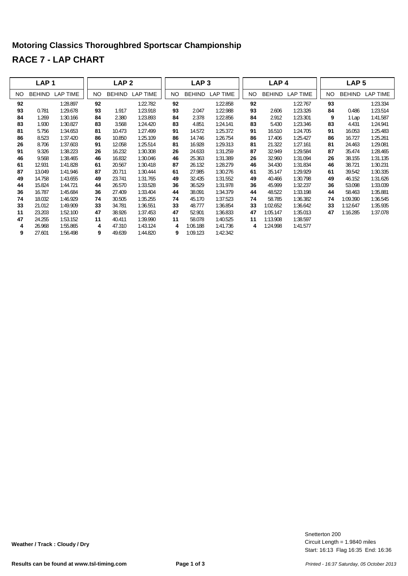## **Motoring Classics Thoroughbred Sportscar Championship RACE 7 - LAP CHART**

|     | LAP <sub>1</sub> |                 |     | LAP <sub>2</sub> |                 |    | LAP <sub>3</sub> |                 |     | LAP <sub>4</sub> |                 |     | LAP <sub>5</sub> |                 |
|-----|------------------|-----------------|-----|------------------|-----------------|----|------------------|-----------------|-----|------------------|-----------------|-----|------------------|-----------------|
| NO. | <b>BEHIND</b>    | <b>LAP TIME</b> | NO. | <b>BEHIND</b>    | <b>LAP TIME</b> | NO | <b>BEHIND</b>    | <b>LAP TIME</b> | NO. | <b>BEHIND</b>    | <b>LAP TIME</b> | NO. | <b>BEHIND</b>    | <b>LAP TIME</b> |
| 92  |                  | 1:28.897        | 92  |                  | 1:22.782        | 92 |                  | 1:22.858        | 92  |                  | 1:22.767        | 93  |                  | 1:23.334        |
| 93  | 0.781            | 1:29.678        | 93  | 1.917            | 1:23.918        | 93 | 2.047            | 1:22.988        | 93  | 2.606            | 1:23.326        | 84  | 0.486            | 1:23.514        |
| 84  | 1.269            | 1:30.166        | 84  | 2.380            | 1:23.893        | 84 | 2.378            | 1:22.856        | 84  | 2.912            | 1:23.301        | 9   | 1 Lap            | 1:41.587        |
| 83  | 1.930            | 1:30.827        | 83  | 3.568            | 1:24.420        | 83 | 4.851            | 1:24.141        | 83  | 5.430            | 1:23.346        | 83  | 4.431            | 1:24.941        |
| 81  | 5.756            | 1:34.653        | 81  | 10.473           | 1:27.499        | 91 | 14.572           | 1:25.372        | 91  | 16.510           | 1:24.705        | 91  | 16.053           | 1:25.483        |
| 86  | 8.523            | 1:37.420        | 86  | 10.850           | 1:25.109        | 86 | 14.746           | 1:26.754        | 86  | 17.406           | 1:25.427        | 86  | 16.727           | 1:25.261        |
| 26  | 8.706            | 1:37.603        | 91  | 12.058           | 1:25.514        | 81 | 16.928           | 1:29.313        | 81  | 21.322           | 1:27.161        | 81  | 24.463           | 1:29.081        |
| 91  | 9.326            | 1:38.223        | 26  | 16.232           | 1:30.308        | 26 | 24.633           | 1:31.259        | 87  | 32.949           | 1:29.584        | 87  | 35.474           | 1:28.465        |
| 46  | 9.568            | 1:38.465        | 46  | 16.832           | 1:30.046        | 46 | 25.363           | 1:31.389        | 26  | 32.960           | 1:31.094        | 26  | 38.155           | 1:31.135        |
| 61  | 12.931           | 1:41.828        | 61  | 20.567           | 1:30.418        | 87 | 26.132           | 1:28.279        | 46  | 34.430           | 1:31.834        | 46  | 38.721           | 1:30.231        |
| 87  | 13.049           | 1:41.946        | 87  | 20.711           | 1:30.444        | 61 | 27.985           | 1:30.276        | 61  | 35.147           | 1:29.929        | 61  | 39.542           | 1:30.335        |
| 49  | 14.758           | 1:43.655        | 49  | 23.741           | 1:31.765        | 49 | 32.435           | 1:31.552        | 49  | 40.466           | 1:30.798        | 49  | 46.152           | 1:31.626        |
| 44  | 15.824           | 1:44.721        | 44  | 26.570           | 1:33.528        | 36 | 36.529           | 1:31.978        | 36  | 45.999           | 1:32.237        | 36  | 53.098           | 1:33.039        |
| 36  | 16.787           | 1:45.684        | 36  | 27.409           | 1:33.404        | 44 | 38.091           | 1:34.379        | 44  | 48.522           | 1:33.198        | 44  | 58.463           | 1:35.881        |
| 74  | 18.032           | 1:46.929        | 74  | 30.505           | 1:35.255        | 74 | 45.170           | 1:37.523        | 74  | 58.785           | 1:36.382        | 74  | 1:09.390         | 1:36.545        |
| 33  | 21.012           | 1:49.909        | 33  | 34.781           | 1:36.551        | 33 | 48.777           | 1:36.854        | 33  | 1:02.652         | 1:36.642        | 33  | 1:12.647         | 1:35.935        |
| 11  | 23.203           | 1:52.100        | 47  | 38.926           | 1:37.453        | 47 | 52.901           | 1:36.833        | 47  | 1:05.147         | 1:35.013        | 47  | 1:16.285         | 1:37.078        |
| 47  | 24.255           | 1:53.152        | 11  | 40.411           | 1:39.990        | 11 | 58.078           | 1:40.525        | 11  | 1:13.908         | 1:38.597        |     |                  |                 |
| 4   | 26.968           | 1:55.865        | 4   | 47.310           | 1:43.124        | 4  | 1:06.188         | 1:41.736        | 4   | 1:24.998         | 1:41.577        |     |                  |                 |
| 9   | 27.601           | 1:56.498        | 9   | 49.639           | 1:44.820        | 9  | 1:09.123         | 1:42.342        |     |                  |                 |     |                  |                 |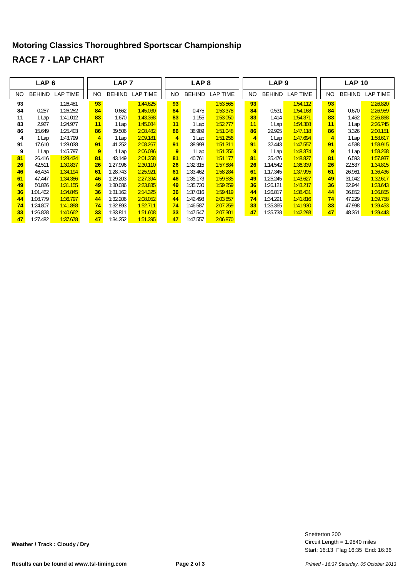#### **Motoring Classics Thoroughbred Sportscar Championship RACE 7 - LAP CHART**

|    | LAP <sub>6</sub> |                 |                | LAP <sub>7</sub> |                 |     | LAP <sub>8</sub> |          |                | LAP <sub>9</sub> |          |     | <b>LAP 10</b> |                 |
|----|------------------|-----------------|----------------|------------------|-----------------|-----|------------------|----------|----------------|------------------|----------|-----|---------------|-----------------|
| NO | <b>BEHIND</b>    | <b>LAP TIME</b> | NO.            | <b>BEHIND</b>    | <b>LAP TIME</b> | NO. | <b>BEHIND</b>    | LAP TIME | NO.            | <b>BEHIND</b>    | LAP TIME | NO. | <b>BEHIND</b> | <b>LAP TIME</b> |
| 93 |                  | 1:26.481        | 93             |                  | 1:44.625        | 93  |                  | 1:53.565 | 93             |                  | 1:54.112 | 93  |               | 2:26.820        |
| 84 | 0.257            | 1:26.252        | 84             | 0.662            | 1:45.030        | 84  | 0.475            | 1:53.378 | 84             | 0.531            | 1:54.168 | 84  | 0.670         | 2:26.959        |
| 11 | 1 Lap            | 1:41.012        | 83             | 1.670            | 1:43.368        | 83  | 1.155            | 1:53.050 | 83             | 1.414            | 1:54.371 | 83  | 1.462         | 2:26.868        |
| 83 | 2.927            | 1:24.977        | 11             | 1 Lap            | 1:45.084        | 11  | 1 Lap            | 1:52.777 | 11             | 1 Lap            | 1:54.308 | 11  | 1 Lap         | 2:26.745        |
| 86 | 15.649           | 1:25.403        | 86             | 39.506           | 2:08.482        | 86  | 36.989           | 1:51.048 | 86             | 29.995           | 1:47.118 | 86  | 3.326         | 2:00.151        |
| 4  | 1 Lap            | 1:43.799        | $\overline{4}$ | 1 Lap            | 2:09.181        | 4   | 1 Lap            | 1:51.256 | $\overline{4}$ | 1 Lap            | 1:47.694 | 4   | 1 Lap         | 1:58.617        |
| 91 | 17.610           | 1:28.038        | 91             | 41.252           | 2:08.267        | 91  | 38.998           | 1:51.311 | 91             | 32.443           | 1:47.557 | 91  | 4.538         | 1:58.915        |
| 9  | 1 Lap            | 1:45.797        | 9              | 1 Lap            | 2:06.036        | 9   | 1 Lap            | 1:51.256 | 9              | 1 Lap            | 1:48.374 | 9   | 1 Lap         | 1:58.268        |
| 81 | 26.416           | 1:28.434        | 81             | 43.149           | 2:01.358        | 81  | 40.761           | 1:51.177 | 81             | 35.476           | 1:48.827 | 81  | 6.593         | 1:57.937        |
| 26 | 42.511           | 1:30.837        | 26             | 1:27.996         | 2:30.110        | 26  | 1:32.315         | 1:57.884 | 26             | 1:14.542         | 1:36.339 | 26  | 22.537        | 1:34.815        |
| 46 | 46.434           | 1:34.194        | 61             | 1:28.743         | 2:25.921        | 61  | 1:33.462         | 1:58.284 | 61             | 1:17.345         | 1:37.995 | 61  | 26.961        | 1:36.436        |
| 61 | 47.447           | 1:34.386        | 46             | 1:29.203         | 2:27.394        | 46  | 1:35.173         | 1:59.535 | 49             | 1:25.245         | 1:43.627 | 49  | 31.042        | 1:32.617        |
| 49 | 50.826           | 1:31.155        | 49             | 1:30.036         | 2:23.835        | 49  | 1:35.730         | 1:59.259 | 36             | 1:26.121         | 1:43.217 | 36  | 32.944        | 1:33.643        |
| 36 | 1:01.462         | 1:34.845        | 36             | 1:31.162         | 2:14.325        | 36  | 1:37.016         | 1:59.419 | 44             | 1:26.817         | 1:38.431 | 44  | 36.852        | 1:36.855        |
| 44 | 1:08.779         | 1:36.797        | 44             | 1:32.206         | 2:08.052        | 44  | 1:42.498         | 2:03.857 | 74             | 1:34.291         | 1:41.816 | 74  | 47.229        | 1:39.758        |
| 74 | 1:24.807         | 1:41.898        | 74             | 1:32.893         | 1:52.711        | 74  | 1:46.587         | 2:07.259 | 33             | 1:35.365         | 1:41.930 | 33  | 47.998        | 1:39.453        |
| 33 | 1:26.828         | 1:40.662        | 33             | 1:33.811         | 1:51.608        | 33  | 1:47.547         | 2:07.301 | 47             | 1:35.738         | 1:42.293 | 47  | 48.361        | 1:39.443        |
| 47 | 1:27.482         | 1:37.678        | 47             | 1:34.252         | 1:51.395        | 47  | 1:47.557         | 2:06.870 |                |                  |          |     |               |                 |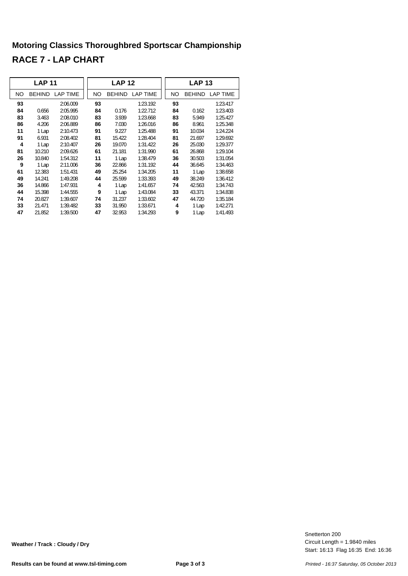### **Motoring Classics Thoroughbred Sportscar Championship RACE 7 - LAP CHART**

|     | <b>LAP 11</b> |                        |     | <b>LAP 12</b> |                 |     | <b>LAP 13</b> |                 |
|-----|---------------|------------------------|-----|---------------|-----------------|-----|---------------|-----------------|
| NO. |               | <b>BEHIND LAP TIME</b> | NO. |               | BEHIND LAP TIME | NO. |               | BEHIND LAP TIME |
| 93  |               | 2:06.009               | 93  |               | 1:23.192        | 93  |               | 1:23.417        |
| 84  | 0.656         | 2:05.995               | 84  | 0.176         | 1:22.712        | 84  | 0.162         | 1:23.403        |
| 83  | 3.463         | 2:08.010               | 83  | 3.939         | 1:23.668        | 83  | 5.949         | 1:25.427        |
| 86  | 4.206         | 2:06.889               | 86  | 7.030         | 1:26.016        | 86  | 8.961         | 1:25.348        |
| 11  | 1 Lap         | 2:10.473               | 91  | 9.227         | 1:25.488        | 91  | 10.034        | 1:24.224        |
| 91  | 6.931         | 2:08.402               | 81  | 15.422        | 1:28.404        | 81  | 21.697        | 1:29.692        |
| 4   | 1 Lap         | 2:10.407               | 26  | 19.070        | 1:31.422        | 26  | 25.030        | 1:29.377        |
| 81  | 10.210        | 2:09.626               | 61  | 21.181        | 1:31.990        | 61  | 26.868        | 1:29.104        |
| 26  | 10.840        | 1:54.312               | 11  | 1 Lap         | 1:38.479        | 36  | 30.503        | 1:31.054        |
| 9   | 1 Lap         | 2:11.006               | 36  | 22.866        | 1:31.192        | 44  | 36.645        | 1:34.463        |
| 61  | 12.383        | 1:51.431               | 49  | 25.254        | 1:34.205        | 11  | 1 Lap         | 1:38.658        |
| 49  | 14.241        | 1:49.208               | 44  | 25.599        | 1:33.393        | 49  | 38.249        | 1:36.412        |
| 36  | 14.866        | 1:47.931               | 4   | 1 Lap         | 1:41.657        | 74  | 42.563        | 1:34.743        |
| 44  | 15.398        | 1:44.555               | 9   | 1 Lap         | 1:43.084        | 33  | 43.371        | 1:34.838        |
| 74  | 20.827        | 1:39.607               | 74  | 31.237        | 1:33.602        | 47  | 44.720        | 1:35.184        |
| 33  | 21.471        | 1:39.482               | 33  | 31.950        | 1:33.671        | 4   | 1 Lap         | 1:42.271        |
| 47  | 21.852        | 1:39.500               | 47  | 32.953        | 1:34.293        | 9   | 1 Lap         | 1:41.493        |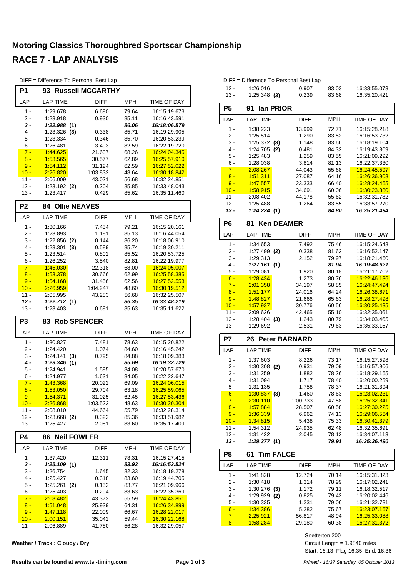## **Motoring Classics Thoroughbred Sportscar Championship RACE 7 - LAP ANALYSIS**

| P1               | 93 -                    |     | <b>Russell MCCARTHY</b> |            |                              |
|------------------|-------------------------|-----|-------------------------|------------|------------------------------|
| LAP              | <b>LAP TIME</b>         |     | <b>DIFF</b>             | <b>MPH</b> | <b>TIME OF DAY</b>           |
| $1 -$            | 1:29.678                |     | 6.690                   | 79.64      | 16:15:19.673                 |
| 2 -              | 1:23.918                |     | 0.930                   | 85.11      | 16:16:43.591                 |
| 3 -              | 1:22.988(1)             |     |                         | 86.06      | 16:18:06.579                 |
| 4 -              | $1:23.326$ (3)          |     | 0.338                   | 85.71      | 16:19:29.905                 |
| 5 -              | 1:23.334                |     | 0.346                   | 85.70      | 16:20:53.239                 |
| 6 -              | 1:26.481                |     | 3.493                   | 82.59      | 16:22:19.720                 |
| $7 -$            | 1:44.625                |     | 21.637                  | 68.26      | 16:24:04.345                 |
| $8 -$            | 1:53.565                |     | 30.577                  | 62.89      | 16:25:57.910                 |
| $9 -$            | 1:54.112                |     | 31.124                  | 62.59      | 16:27:52.022                 |
| $10 -$           | 2:26.820                |     | 1:03.832                | 48.64      | 16:30:18.842                 |
| $11 -$           | 2:06.009                |     | 43.021                  | 56.68      | 16:32:24.851                 |
| 12 -             | $1:23.192$ (2)          |     | 0.204                   | 85.85      | 16:33:48.043                 |
| $13 -$           | 1:23.417                |     | 0.429                   | 85.62      | 16:35:11.460                 |
| P <sub>2</sub>   | 84                      |     | <b>Ollie NEAVES</b>     |            |                              |
| LAP              | <b>LAP TIME</b>         |     | <b>DIFF</b>             | <b>MPH</b> | TIME OF DAY                  |
| $1 -$            | 1:30.166                |     | 7.454                   | 79.21      | 16:15:20.161                 |
| 2 -              | 1:23.893                |     | 1.181                   | 85.13      | 16:16:44.054                 |
| 3 -              | $1:22.856$ (2)          |     | 0.144                   | 86.20      | 16:18:06.910                 |
| 4 -              | 1:23.301                | (3) | 0.589                   | 85.74      | 16:19:30.211                 |
| 5 -              | 1:23.514                |     | 0.802                   | 85.52      | 16:20:53.725                 |
| 6 -              | 1:26.252                |     | 3.540                   | 82.81      | 16:22:19.977                 |
| $7 -$            | 1:45.030                |     | 22.318                  |            | 16:24:05.007                 |
|                  |                         |     |                         | 68.00      |                              |
| $8 -$            | 1:53.378                |     | 30.666                  | 62.99      | 16.25:58.385<br>16:27:52.553 |
| $9 -$            | 1:54.168                |     | 31.456                  | 62.56      |                              |
| $10 -$           | 2:26.959                |     | 1:04.247                | 48.60      | 16:30:19.512                 |
| $11 -$           | 2:05.995                |     | 43.283                  | 56.68      | 16:32:25.507                 |
| $12 -$<br>$13 -$ | 1:22.712(1)<br>1:23.403 |     |                         | 86.35      | 16:33:48.219<br>16:35:11.622 |
|                  |                         |     | 0.691                   | 85.63      |                              |
|                  |                         |     |                         |            |                              |
| P <sub>3</sub>   | 83                      |     | <b>Rob SPENCER</b>      |            |                              |
| LAP              | <b>LAP TIME</b>         |     | <b>DIFF</b>             | <b>MPH</b> | <b>TIME OF DAY</b>           |
| 1 -              | 1:30.827                |     | 7.481                   | 78.63      | 16:15:20.822                 |
| 2 -              | 1:24.420                |     | 1.074                   | 84.60      | 16:16:45.242                 |
| 3 -              | 1:24.141                | (3) | 0.795                   | 84.88      | 16:18:09.383                 |
| 4 -              | 1:23.346(1)             |     |                         | 85.69      | 16:19:32.729                 |
| 5 -              | 1:24.941                |     | 1.595                   | 84.08      | 16:20:57.670                 |
| 6 -              | 1:24.977                |     | 1.631                   | 84.05      | 16:22:22.647                 |
| $7 -$            | 1:43.368                |     | 20.022                  | 69.09      | 16.24:06.015                 |
| $8 -$            | 1:53.050                |     | 29.704                  | 63.18      | 16:25:59.065                 |
| $9 -$            | 1:54.371                |     | 31.025                  | 62.45      | 16:27:53.436                 |
| $10 -$           | 2:26.868                |     | 1:03.522                | 48.63      | <u>16:30:20.304</u>          |
| $11 -$           | 2:08.010                |     | 44.664                  | 55.79      | 16:32:28.314                 |
| $12 -$           | 1:23.668 (2)            |     | 0.322                   | 85.36      | 16:33:51.982                 |
| $13 -$           | 1:25.427                |     | 2.081                   | 83.60      | 16:35:17.409                 |
| <b>P4</b>        | 86                      |     | <b>Neil FOWLER</b>      |            |                              |
| LAP              | <b>LAP TIME</b>         |     | DIFF                    | <b>MPH</b> | <b>TIME OF DAY</b>           |
| $1 -$            | 1:37.420                |     | 12.311                  | 73.31      | 16:15:27.415                 |
| 2 -              | 1:25.109(1)             |     |                         | 83.92      | 16:16:52.524                 |
| 3 -              | 1:26.754                |     | 1.645                   | 82.33      | 16:18:19.278                 |
| 4 -              | 1:25.427                |     | 0.318                   | 83.60      | 16:19:44.705                 |
| 5 -              | 1:25.261                | (2) | 0.152                   | 83.77      | 16:21:09.966                 |
| 6 -              | 1:25.403                |     | 0.294                   | 83.63      | 16:22:35.369                 |
| $7 -$            | 2:08.482                |     | 43.373                  | 55.59      | 16:24:43.851                 |
| $8 -$            | 1:51.048                |     | 25.939                  | 64.31      | 16.26:34.899                 |
| $9 -$            | 1:47.118                |     | 22.009                  | 66.67      | <u>16:28:22.017</u>          |
| $10 -$           | 2:00.151                |     | 35.042                  | 59.44      | 16:30:22.168                 |
| 11 -             | 2:06.889                |     | 41.780                  | 56.28      | 16:32:29.057                 |

**Weather / Track : Cloudy / Dry**

| DIFF = Difference To Personal Best Lap |  |  |  |  |
|----------------------------------------|--|--|--|--|
|----------------------------------------|--|--|--|--|

| $12 -$<br>$13 -$ | 1:26.016<br>$1:25.348$ (3) | 0.907<br>0.239   | 83.03<br>83.68 | 16:33:55.073<br>16:35:20.421 |
|------------------|----------------------------|------------------|----------------|------------------------------|
| P <sub>5</sub>   | lan PRIOR<br>91            |                  |                |                              |
| LAP              | <b>LAP TIME</b>            | DIFF             | MPH            | TIME OF DAY                  |
| 1 -              | 1:38.223                   | 13.999           | 72.71          | 16:15:28.218                 |
| $2 -$            | 1:25.514                   | 1.290            | 83.52          | 16:16:53.732                 |
| 3 -              | 1:25.372<br>(3)            | 1.148            | 83.66          | 16:18:19.104                 |
| 4 -              | 1:24.705<br>(2)            | 0.481            | 84.32          | 16:19:43.809                 |
| 5 -              | 1:25.483                   | 1.259            | 83.55          | 16:21:09.292                 |
| 6 -              | 1:28.038                   | 3.814            | 81.13          | 16:22:37.330                 |
| $7 -$            | 2:08.267                   | 44.043           | 55.68          | 16:24:45.597                 |
| $8 -$            | 1:51.311                   | 27.087           | 64.16          | 16:26:36.908                 |
| $9 -$            | 1:47.557                   | 23.333           | 66.40          | 16:28:24.465                 |
| $10 -$<br>$11 -$ | <u>1:58.915</u>            | 34.691<br>44.178 | 60.06          | 16:30:23.380                 |
| $12 -$           | 2:08.402<br>1:25.488       | 1.264            | 55.62          | 16:32:31.782<br>16:33:57.270 |
| $13 -$           | 1:24.224(1)                |                  | 83.55<br>84.80 | 16:35:21.494                 |
|                  |                            |                  |                |                              |
| P <sub>6</sub>   | <b>Ken DEAMER</b><br>81    |                  |                |                              |
| LAP              | <b>LAP TIME</b>            | DIFF             | <b>MPH</b>     | TIME OF DAY                  |
| $1 -$            | 1:34.653                   | 7.492            | 75.46          | 16:15:24.648                 |
| 2 -              | 1:27.499<br>(2)            | 0.338            | 81.62          | 16:16:52.147                 |
| 3 -              | 1:29.313                   | 2.152            | 79.97          | 16:18:21.460                 |
| 4 -              | 1:27.161(1)                |                  | 81.94          | 16:19:48.621                 |
| 5 -              | 1:29.081                   | 1.920            | 80.18          | 16:21:17.702                 |
| $6 -$            | 1:28.434                   | 1.273            | 80.76          | 16:22:46.136                 |
| $7 -$            | 2:01.358                   | 34.197           | 58.85          | 16:24:47.494                 |
| $8 -$<br>$9 -$   | 1:51.177<br>1:48.827       | 24.016<br>21.666 | 64.24          | 16:26:38.671<br>16:28:27.498 |
| $10 -$           | 1:57.937                   | 30.776           | 65.63<br>60.56 | 16:30:25.435                 |
| $11 -$           | 2:09.626                   | 42.465           | 55.10          | 16:32:35.061                 |
| $12 -$           | 1:28.404<br>(3)            | 1.243            | 80.79          | 16:34:03.465                 |
| $13 -$           | 1:29.692                   | 2.531            | 79.63          | 16:35:33.157                 |
| P7               | <b>Peter BARNARD</b><br>26 |                  |                |                              |
| LAP              | <b>LAP TIME</b>            | DIFF             | <b>MPH</b>     | TIME OF DAY                  |
|                  |                            |                  |                |                              |
| $1 -$            | 1:37.603                   | 8.226            | 73.17          | 16:15:27.598                 |
| $2 -$            | $1:30.308$ (2)             | 0.931            | 79.09          | 16:16:57.906                 |
| 3 -<br>4 -       | 1:31.259<br>1:31.094       | 1.882<br>1.717   | 78.26<br>78.40 | 16:18:29.165<br>16:20:00.259 |
| 5 -              | 1:31.135                   | 1.758            | 78.37          | 16:21:31.394                 |
| $6 -$            | <u>1:30.837  </u><br>(3)   | 1.460            | 78.63          | <u>16:23:02.231</u>          |
| $7 -$            | 2:30.110                   | 1:00.733         | 47.58          | 16:25:32.341                 |
| $8 -$            | 1:57.884                   | 28.507           | 60.58          | 16:27:30.225                 |
| $9 -$            | 1:36.339                   | 6.962            | 74.13          | 16:29:06.564                 |
| $10 -$           | <u>1:34.815</u>            | 5.438            | 75.33          | 16:30:41.379                 |
| $11 -$           | 1:54.312                   | 24.935           | 62.48          | 16:32:35.691                 |
| 12 -             | 1:31.422                   | 2.045            | 78.12          | 16:34:07.113                 |
| $13 -$           | 1:29.377 (1)               |                  | 79.91          | 16:35:36.490                 |
| P8               | <b>Tim FALCE</b><br>61     |                  |                |                              |
| LAP              | <b>LAP TIME</b>            | <b>DIFF</b>      | <b>MPH</b>     | TIME OF DAY                  |
| 1 -              | 1:41.828                   | 12.724           | 70.14          | 16:15:31.823                 |
| 2 -              | 1:30.418                   | 1.314            | 78.99          | 16:17:02.241                 |
| 3 -              | 1:30.276<br>(3)            | 1.172            | 79.11          | 16:18:32.517                 |
| 4 -              | 1:29.929<br>(2)            | 0.825            | 79.42          | 16:20:02.446                 |
| 5 -              | 1:30.335                   | 1.231            | 79.06          | 16:21:32.781                 |
| $6 -$            | 1:34.386                   | 5.282            | 75.67          | 16:23:07.167                 |
| $7 -$            | 2:25.921                   | 56.817           | 48.94          | 16:25:33.088                 |

DIFF = Difference To Personal Best Lap

Snetterton 200

8 - 1:58.284 29.180 60.38 16:27:31.372

Start: 16:13 Flag 16:35 End: 16:36 Circuit Length = 1.9840 miles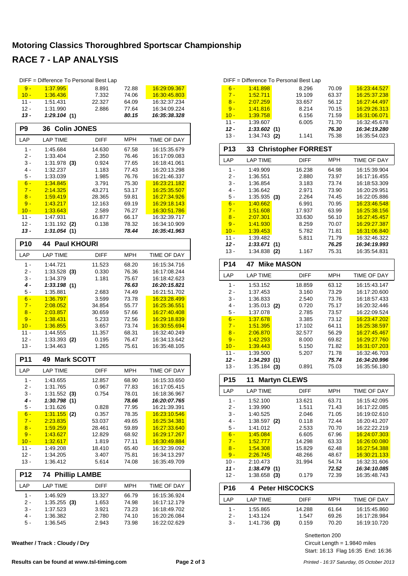## **Motoring Classics Thoroughbred Sportscar Championship RACE 7 - LAP ANALYSIS**

| DIFF = Difference To Personal Best Lap |                                |                 |                |                              |  |  |  |  |  |
|----------------------------------------|--------------------------------|-----------------|----------------|------------------------------|--|--|--|--|--|
| $9 -$                                  | 1:37.995                       | 8.891           | 72.88          | 16:29:09.367                 |  |  |  |  |  |
| $10 -$                                 | 1:36.436                       | 7.332           | 74.06          | 16:30:45.803                 |  |  |  |  |  |
| $11 -$                                 | 1:51.431                       | 22.327          | 64.09          | 16:32:37.234                 |  |  |  |  |  |
| 12 -                                   | 1:31.990                       | 2.886           | 77.64          | 16:34:09.224                 |  |  |  |  |  |
| $13 -$                                 | 1:29.104(1)                    |                 | 80.15          | 16:35:38.328                 |  |  |  |  |  |
| P <sub>9</sub>                         | <b>Colin JONES</b><br>36       |                 |                |                              |  |  |  |  |  |
| LAP                                    | <b>LAP TIME</b>                | <b>DIFF</b>     | <b>MPH</b>     | TIME OF DAY                  |  |  |  |  |  |
| 1 -                                    | 1:45.684                       | 14.630          | 67.58          | 16:15:35.679                 |  |  |  |  |  |
| 2 -                                    | 1:33.404                       | 2.350           | 76.46          | 16:17:09.083                 |  |  |  |  |  |
| 3 -                                    | 1:31.978<br>(3)                | 0.924           | 77.65          | 16:18:41.061                 |  |  |  |  |  |
| $4 -$<br>$5 -$                         | 1:32.237<br>1:33.039           | 1.183<br>1.985  | 77.43<br>76.76 | 16:20:13.298<br>16:21:46.337 |  |  |  |  |  |
| $6 -$                                  | 1:34.845                       | 3.791           | 75.30          | 16:23:21.182                 |  |  |  |  |  |
| $7 -$                                  | 2:14.325                       | 43.271          | 53.17          | 16.25:35.507                 |  |  |  |  |  |
| $8 -$                                  | 1:59.419                       | 28.365          | 59.81          | 16:27:34.926                 |  |  |  |  |  |
| $9 -$                                  | 1:43.217                       | 12.163          | 69.19          | 16:29:18.143                 |  |  |  |  |  |
| $10 -$                                 | 1:33.643                       | 2.589           | 76.27          | 16:30:51.786                 |  |  |  |  |  |
| $11 -$                                 | 1:47.931                       | 16.877          | 66.17          | 16:32:39.717                 |  |  |  |  |  |
| $12 -$<br>13 -                         | 1:31.192<br>(2)<br>1:31.054(1) | 0.138           | 78.32<br>78.44 | 16:34:10.909<br>16:35:41.963 |  |  |  |  |  |
| <b>P10</b>                             | <b>Paul KHOURI</b><br>44       |                 |                |                              |  |  |  |  |  |
| LAP                                    | <b>LAP TIME</b>                | <b>DIFF</b>     | <b>MPH</b>     | TIME OF DAY                  |  |  |  |  |  |
| 1 -                                    | 1:44.721                       | 11.523          | 68.20          | 16:15:34.716                 |  |  |  |  |  |
| 2 -                                    | $1:33.528$ (3)                 | 0.330           | 76.36          | 16:17:08.244                 |  |  |  |  |  |
| 3 -                                    | 1:34.379                       | 1.181           | 75.67          | 16:18:42.623                 |  |  |  |  |  |
| 4 -                                    | 1:33.198(1)                    |                 | 76.63          | 16:20:15.821                 |  |  |  |  |  |
| 5 -                                    | 1:35.881                       | 2.683           | 74.49          | 16:21:51.702                 |  |  |  |  |  |
| $6 -$                                  | 1:36.797                       | 3.599           | 73.78          | 16:23:28.499                 |  |  |  |  |  |
| $7 -$<br>$8 -$                         | 2:08.052<br>2:03.857           | 34.854          | 55.77          | 16:25:36.551<br>16:27:40.408 |  |  |  |  |  |
| $9 -$                                  | 1:38.431                       | 30.659<br>5.233 | 57.66<br>72.56 | 16:29:18.839                 |  |  |  |  |  |
| $10 -$                                 | 1:36.855                       | 3.657           | 73.74          | 16:30:55.694                 |  |  |  |  |  |
| 11 -                                   | 1:44.555                       | 11.357          | 68.31          | 16:32:40.249                 |  |  |  |  |  |
| $12 -$                                 | 1:33.393<br>(2)                | 0.195           | 76.47          | 16:34:13.642                 |  |  |  |  |  |
| 13 -                                   | 1:34.463                       | 1.265           | 75.61          | 16:35:48.105                 |  |  |  |  |  |
| <b>P11</b>                             | <b>Mark SCOTT</b><br>49        |                 |                |                              |  |  |  |  |  |
| LAP                                    | <b>LAP TIME</b>                | <b>DIFF</b>     | <b>MPH</b>     | TIME OF DAY                  |  |  |  |  |  |
| 1 -                                    | 1:43.655                       | 12.857          | 68.90          | 16:15:33.650                 |  |  |  |  |  |
| $2 -$                                  | 1:31.765                       | 0.967           | 77.83          | 16:17:05.415                 |  |  |  |  |  |
| 3 -<br>4 -                             | 1:31.552<br>(3)                | 0.754           | 78.01          | 16:18:36.967                 |  |  |  |  |  |
| 5 -                                    | 1:30.798<br>(1)<br>1:31.626    | 0.828           | 78.66<br>77.95 | 16:20:07.765<br>16:21:39.391 |  |  |  |  |  |
| $6 -$                                  | $1:31.155$ (2)                 | 0.357           | 78.35          | 16:23:10.546                 |  |  |  |  |  |
| $7 -$                                  | 2:23.835                       | 53.037          | 49.65          | 16:25:34.381                 |  |  |  |  |  |
| $8 -$                                  | 1:59.259                       | 28.461          | 59.89          | 16:27:33.640                 |  |  |  |  |  |
| $9 -$                                  | 1:43.627                       | 12.829          | 68.92          | 16:29:17.267                 |  |  |  |  |  |
| $10 -$<br>11 -                         | <u>1:32.617</u>                | 1.819<br>18.410 | 77.11<br>65.40 | <u>16:30:49.884</u>          |  |  |  |  |  |
| 12 -                                   | 1:49.208<br>1:34.205           | 3.407           | 75.81          | 16:32:39.092<br>16:34:13.297 |  |  |  |  |  |
| $13 -$                                 | 1:36.412                       | 5.614           | 74.08          | 16:35:49.709                 |  |  |  |  |  |
| <b>P12</b>                             | 74<br><b>Phillip LAMBE</b>     |                 |                |                              |  |  |  |  |  |
| LAP                                    | <b>LAP TIME</b>                | <b>DIFF</b>     | <b>MPH</b>     | TIME OF DAY                  |  |  |  |  |  |
| 1 -                                    | 1:46.929                       | 13.327          | 66.79          | 16:15:36.924                 |  |  |  |  |  |
| 2 -                                    | 1:35.255(3)                    | 1.653           | 74.98          | 16:17:12.179                 |  |  |  |  |  |
| 3 -                                    | 1:37.523                       | 3.921           | 73.23          | 16:18:49.702                 |  |  |  |  |  |
| 4 -                                    | 1:36.382                       | 2.780           | 74.10          | 16:20:26.084                 |  |  |  |  |  |
| $5 -$                                  | 1:36.545                       | 2.943           | 73.98          | 16:22:02.629                 |  |  |  |  |  |

**Weather / Track : Cloudy / Dry**

| DIFF = Difference To Personal Best Lap              |                            |                     |                |                                     |  |  |  |  |  |
|-----------------------------------------------------|----------------------------|---------------------|----------------|-------------------------------------|--|--|--|--|--|
| $6 -$                                               | 1:41.898                   | 8.296               | 70.09          | 16:23:44.527                        |  |  |  |  |  |
| $7 -$                                               | 1:52.711                   | 19.109              | 63.37          | 16:25:37.238                        |  |  |  |  |  |
| $8 -$                                               | 2:07.259                   | 33.657              | 56.12          | 16:27:44.497                        |  |  |  |  |  |
| $9 -$                                               | 1:41.816                   | 8.214               | 70.15          | <u>16:29:26.313</u>                 |  |  |  |  |  |
| $10 -$<br>$11 -$                                    | 1:39.758<br>1:39.607       | 6.156<br>6.005      | 71.59<br>71.70 | 16:31:06.071<br>16:32:45.678        |  |  |  |  |  |
| 12 -                                                | 1:33.602(1)                |                     | 76.30          | 16:34:19.280                        |  |  |  |  |  |
| 13 -                                                | $1:34.743$ (2)             | 1.141               | 75.38          | 16:35:54.023                        |  |  |  |  |  |
| P <sub>13</sub><br><b>Christopher FORREST</b><br>33 |                            |                     |                |                                     |  |  |  |  |  |
|                                                     |                            |                     |                |                                     |  |  |  |  |  |
| LAP                                                 | <b>LAP TIME</b>            | DIFF                | <b>MPH</b>     | TIME OF DAY                         |  |  |  |  |  |
| 1 -<br>$2 -$                                        | 1:49.909                   | 16.238              | 64.98          | 16:15:39.904                        |  |  |  |  |  |
| 3 -                                                 | 1:36.551<br>1:36.854       | 2.880<br>3.183      | 73.97<br>73.74 | 16:17:16.455<br>16:18:53.309        |  |  |  |  |  |
| $4 -$                                               | 1:36.642                   | 2.971               | 73.90          | 16:20:29.951                        |  |  |  |  |  |
| 5 -                                                 | 1:35.935                   | (3)<br>2.264        | 74.45          | 16:22:05.886                        |  |  |  |  |  |
| $6 -$                                               | 1:40.662                   | 6.991               | 70.95          | 16:23:46.548                        |  |  |  |  |  |
| $7 -$                                               | 1:51.608                   | 17.937              | 63.99          | 16:25:38.156                        |  |  |  |  |  |
| $8 -$                                               | 2:07.301                   | 33.630              | 56.10          | 16:27:45.457                        |  |  |  |  |  |
| $9 -$                                               | 1:41.930                   | 8.259               | 70.07          | 16:29:27.387                        |  |  |  |  |  |
| $10 -$<br>11 -                                      | 1:39.453<br>1:39.482       | 5.782               | 71.81<br>71.79 | 16:31:06.840                        |  |  |  |  |  |
| 12 -                                                | 1:33.671 (1)               | 5.811               | 76.25          | 16:32:46.322<br>16:34:19.993        |  |  |  |  |  |
| 13 -                                                | 1:34.838                   | 1.167<br>(2)        | 75.31          | 16:35:54.831                        |  |  |  |  |  |
|                                                     |                            |                     |                |                                     |  |  |  |  |  |
| P <sub>14</sub>                                     | 47                         | <b>Mike MASON</b>   |                |                                     |  |  |  |  |  |
| LAP                                                 | <b>LAP TIME</b>            | <b>DIFF</b>         | <b>MPH</b>     | TIME OF DAY                         |  |  |  |  |  |
| $1 -$                                               | 1:53.152                   | 18.859              | 63.12          | 16:15:43.147                        |  |  |  |  |  |
| $2 -$                                               | 1:37.453                   | 3.160               | 73.29          | 16:17:20.600                        |  |  |  |  |  |
| $3 -$<br>$4 -$                                      | 1:36.833                   | 2.540<br>0.720      | 73.76<br>75.17 | 16:18:57.433<br>16:20:32.446        |  |  |  |  |  |
| 5 -                                                 | $1:35.013$ (2)<br>1:37.078 | 2.785               | 73.57          | 16:22:09.524                        |  |  |  |  |  |
| $6 -$                                               | 1:37.678                   | 3.385               | 73.12          | 16:23:47.202                        |  |  |  |  |  |
| $7 -$                                               | 1:51.395                   | 17.102              | 64.11          | 16:25:38.597                        |  |  |  |  |  |
| $8 -$                                               | 2:06.870                   | 32.577              | 56.29          | 16:27:45.467                        |  |  |  |  |  |
| $9 -$                                               | 1:42.293                   | 8.000               | 69.82          | 16:29:27.760                        |  |  |  |  |  |
| $10 -$                                              | 1:39.443                   | 5.150               | 71.82          | 16:31:07.203                        |  |  |  |  |  |
| 11 -                                                | 1:39.500                   | 5.207               | 71.78          | 16:32:46.703                        |  |  |  |  |  |
| 12 -<br>13 -                                        | 1:34.293<br>$1:35.184$ (3) | (1)<br>0.891        | 75.74<br>75.03 | 16:34:20.996<br>16:35:56.180        |  |  |  |  |  |
|                                                     |                            |                     |                |                                     |  |  |  |  |  |
| P <sub>15</sub>                                     | 11                         | <b>Martyn CLEWS</b> |                |                                     |  |  |  |  |  |
| LAP                                                 | LAP TIME                   | DIFF                | <b>MPH</b>     | TIME OF DAY                         |  |  |  |  |  |
| $1 -$                                               | 1:52.100                   | 13.621              | 63.71          | 16:15:42.095                        |  |  |  |  |  |
| 2 -                                                 | 1:39.990                   | 1.511               | 71.43          | 16:17:22.085                        |  |  |  |  |  |
| 3 -                                                 | 1:40.525                   | 2.046               | 71.05          | 16:19:02.610                        |  |  |  |  |  |
| 4 -                                                 | 1:38.597 (2)               | 0.118               | 72.44          | 16:20:41.207                        |  |  |  |  |  |
| 5 -<br>$6 -$                                        | 1:41.012<br>1:45.084       | 2.533<br>6.605      | 70.70<br>67.96 | 16:22:22.219<br><u>16:24:07.303</u> |  |  |  |  |  |
| $7 -$                                               | <u>1:52.777</u>            | 14.298              | 63.33          | <u>16:26:00.080</u>                 |  |  |  |  |  |
| $8 -$                                               | 1:54.308                   | 15.829              | 62.48          | 16:27:54.388                        |  |  |  |  |  |
| $9 -$                                               | <u>2:26.745</u>            | 48.266              | 48.67          | <u>16:30:21.133</u>                 |  |  |  |  |  |
| 10 -                                                | 2:10.473                   | 31.994              | 54.74          | 16:32:31.606                        |  |  |  |  |  |
| $11 -$                                              | 1:38.479(1)                |                     | 72.52          | 16:34:10.085                        |  |  |  |  |  |
| $12 -$                                              | $1:38.658$ (3)             | 0.179               | 72.39          | 16:35:48.743                        |  |  |  |  |  |
| 4 Peter HISCOCKS<br><b>P16</b>                      |                            |                     |                |                                     |  |  |  |  |  |
|                                                     |                            |                     |                |                                     |  |  |  |  |  |
| LAP                                                 | <b>LAP TIME</b>            | DIFF                | MPH            | TIME OF DAY                         |  |  |  |  |  |
| $1 -$                                               | 1:55.865                   | 14.288              | 61.64          | 16:15:45.860                        |  |  |  |  |  |
| 2 -                                                 | 1:43.124                   | 1.547               | 69.26          | 16:17:28.984                        |  |  |  |  |  |

Snetterton 200

Start: 16:13 Flag 16:35 End: 16:36 Circuit Length = 1.9840 miles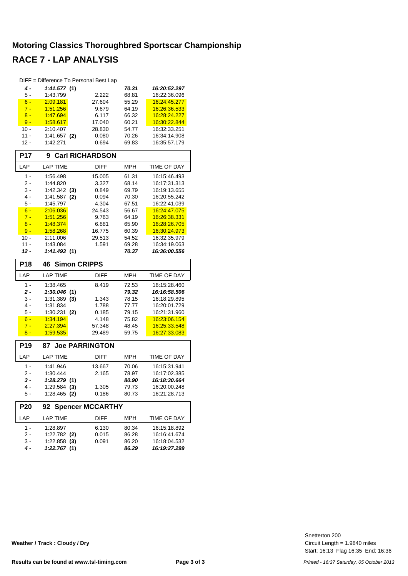#### **Motoring Classics Thoroughbred Sportscar Championship RACE 7 - LAP ANALYSIS**

|                 | DIFF = Difference To Personal Best Lap |                         |            |              |
|-----------------|----------------------------------------|-------------------------|------------|--------------|
| 4 -             | 1:41.577(1)                            |                         | 70.31      | 16:20:52.297 |
| 5 -             | 1:43.799                               | 2.222                   | 68.81      | 16:22:36.096 |
| $6 -$           | 2:09.181                               | 27.604                  | 55.29      | 16:24:45.277 |
| $7 -$           | 1:51.256                               | 9.679                   | 64.19      | 16.26:36.533 |
| $8 -$           | 1:47.694                               | 6.117                   | 66.32      | 16:28:24.227 |
| $9 -$           | 1:58.617                               | 17.040                  | 60.21      | 16:30:22.844 |
| $10 -$          | 2:10.407                               | 28.830                  | 54.77      | 16:32:33.251 |
| $11 -$          | 1:41.657<br>(2)                        | 0.080                   | 70.26      | 16:34:14.908 |
| $12 -$          | 1:42.271                               | 0.694                   | 69.83      | 16:35:57.179 |
|                 |                                        |                         |            |              |
| <b>P17</b>      | 9                                      | <b>Carl RICHARDSON</b>  |            |              |
| LAP             | <b>LAP TIME</b>                        | <b>DIFF</b>             | <b>MPH</b> | TIME OF DAY  |
| $1 -$           | 1:56.498                               | 15.005                  | 61.31      | 16:15:46.493 |
| 2 -             | 1:44.820                               | 3.327                   | 68.14      | 16:17:31.313 |
| 3 -             | $1:42.342$ (3)                         | 0.849                   | 69.79      | 16:19:13.655 |
| $4 -$           | 1:41.587<br>(2)                        | 0.094                   | 70.30      | 16:20:55.242 |
| $5 -$           | 1:45.797                               | 4.304                   | 67.51      | 16:22:41.039 |
| $6 -$           | 2:06.036                               | 24.543                  | 56.67      | 16:24:47.075 |
| $7 -$           | 1:51.256                               | 9.763                   | 64.19      | 16.26:38.331 |
| $8 -$           | 1:48.374                               | 6.881                   | 65.90      | 16.28.26.705 |
| $9 -$           | 1:58.268                               | 16.775                  | 60.39      | 16:30:24.973 |
| 10 -            | 2:11.006                               | 29.513                  | 54.52      | 16:32:35.979 |
| $11 -$          | 1:43.084                               | 1.591                   | 69.28      | 16:34:19.063 |
| 12 -            | 1:41.493(1)                            |                         | 70.37      | 16:36:00.556 |
| <b>P18</b>      | <b>Simon CRIPPS</b><br>46              |                         |            |              |
| LAP             | <b>LAP TIME</b>                        | DIFF                    | <b>MPH</b> | TIME OF DAY  |
| $1 -$           | 1:38.465                               | 8.419                   | 72.53      | 16:15:28.460 |
| $2 -$           | 1:30.046(1)                            |                         | 79.32      | 16:16:58.506 |
| 3 -             | $1:31.389$ (3)                         | 1.343                   | 78.15      | 16:18:29.895 |
| 4 -             | 1:31.834                               | 1.788                   | 77.77      | 16:20:01.729 |
| 5 -             | 1:30.231<br>(2)                        | 0.185                   | 79.15      | 16:21:31.960 |
| $6 -$           | 1:34.194                               | 4.148                   | 75.82      | 16:23:06.154 |
| $7 -$           | 2:27.394                               | 57.348                  | 48.45      | 16:25:33.548 |
| $8 -$           | 1:59.535                               | 29.489                  | 59.75      | 16:27:33.083 |
|                 |                                        |                         |            |              |
| P <sub>19</sub> | 87                                     | <b>Joe PARRINGTON</b>   |            |              |
| LAP             | <b>LAP TIME</b>                        | DIFF                    | <b>MPH</b> | TIME OF DAY  |
| $1 -$           | 1:41.946                               | 13.667                  | 70.06      | 16:15:31.941 |
| 2 -             | 1:30.444                               | 2.165                   | 78.97      | 16:17:02.385 |
| 3 -             | 1:28.279(1)                            |                         | 80.90      | 16:18:30.664 |
| 4 -             | $1:29.584$ (3)                         | 1.305                   | 79.73      | 16:20:00.248 |
| 5 -             | $1:28.465$ (2)                         | 0.186                   | 80.73      | 16:21:28.713 |
| P <sub>20</sub> | 92                                     | <b>Spencer MCCARTHY</b> |            |              |
| LAP             | <b>LAP TIME</b>                        | <b>DIFF</b>             | <b>MPH</b> | TIME OF DAY  |
| 1 -             | 1:28.897                               | 6.130                   | 80.34      | 16:15:18.892 |
| 2 -             | $1:22.782$ (2)                         | 0.015                   | 86.28      | 16:16:41.674 |
|                 |                                        |                         |            |              |
| $3 -$           | $1:22.858$ (3)                         | 0.091                   | 86.20      | 16:18:04.532 |

Start: 16:13 Flag 16:35 End: 16:36 Circuit Length = 1.9840 miles Snetterton 200